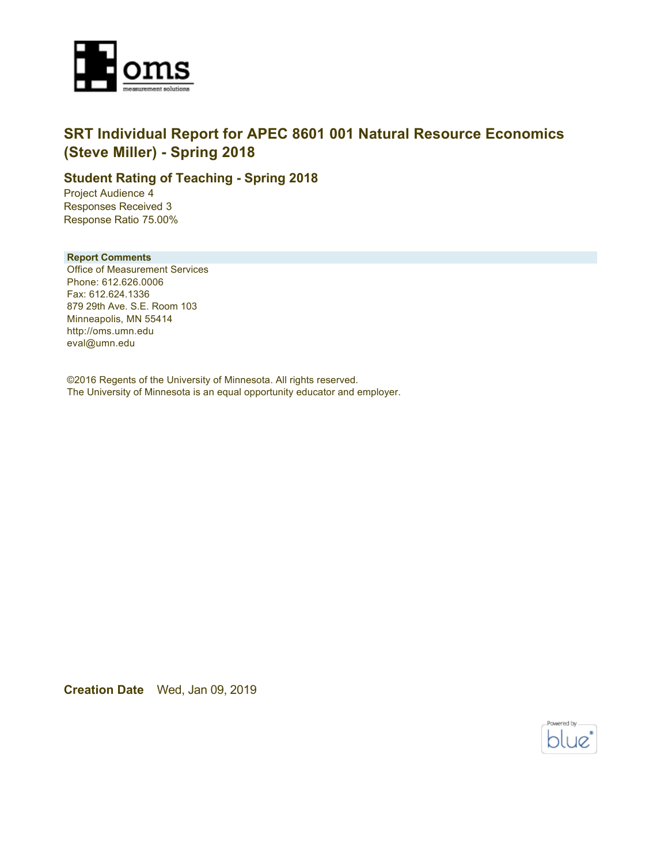

### **SRT Individual Report for APEC 8601 001 Natural Resource Economics (Steve Miller) - Spring 2018**

### **Student Rating of Teaching - Spring 2018**

Project Audience 4 Responses Received 3 Response Ratio 75.00%

#### **Report Comments**

Office of Measurement Services Phone: 612.626.0006 Fax: 612.624.1336 879 29th Ave. S.E. Room 103 Minneapolis, MN 55414 http://oms.umn.edu eval@umn.edu

©2016 Regents of the University of Minnesota. All rights reserved. The University of Minnesota is an equal opportunity educator and employer.

**Creation Date** Wed, Jan 09, 2019

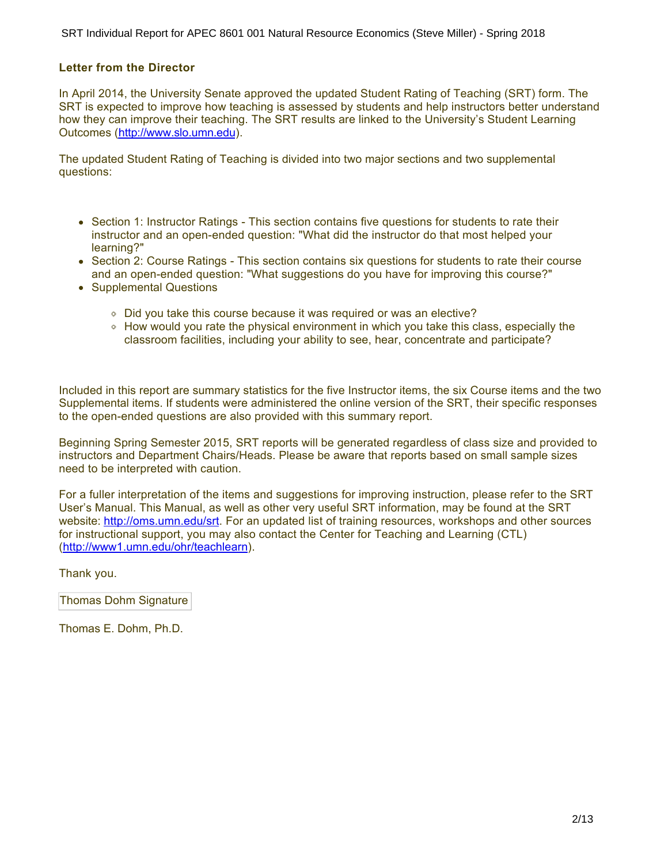#### **Letter from the Director**

In April 2014, the University Senate approved the updated Student Rating of Teaching (SRT) form. The SRT is expected to improve how teaching is assessed by students and help instructors better understand how they can improve their teaching. The SRT results are linked to the University's Student Learning Outcomes (<http://www.slo.umn.edu>).

The updated Student Rating of Teaching is divided into two major sections and two supplemental questions:

- Section 1: Instructor Ratings This section contains five questions for students to rate their instructor and an open-ended question: "What did the instructor do that most helped your learning?"
- Section 2: Course Ratings This section contains six questions for students to rate their course and an open-ended question: "What suggestions do you have for improving this course?"
- Supplemental Questions
	- Did you take this course because it was required or was an elective?
	- How would you rate the physical environment in which you take this class, especially the classroom facilities, including your ability to see, hear, concentrate and participate?

Included in this report are summary statistics for the five Instructor items, the six Course items and the two Supplemental items. If students were administered the online version of the SRT, their specific responses to the open-ended questions are also provided with this summary report.

Beginning Spring Semester 2015, SRT reports will be generated regardless of class size and provided to instructors and Department Chairs/Heads. Please be aware that reports based on small sample sizes need to be interpreted with caution.

For a fuller interpretation of the items and suggestions for improving instruction, please refer to the SRT User's Manual. This Manual, as well as other very useful SRT information, may be found at the SRT website:<http://oms.umn.edu/srt>. For an updated list of training resources, workshops and other sources for instructional support, you may also contact the Center for Teaching and Learning (CTL) (<http://www1.umn.edu/ohr/teachlearn>).

Thank you.

Thomas Dohm Signature

Thomas E. Dohm, Ph.D.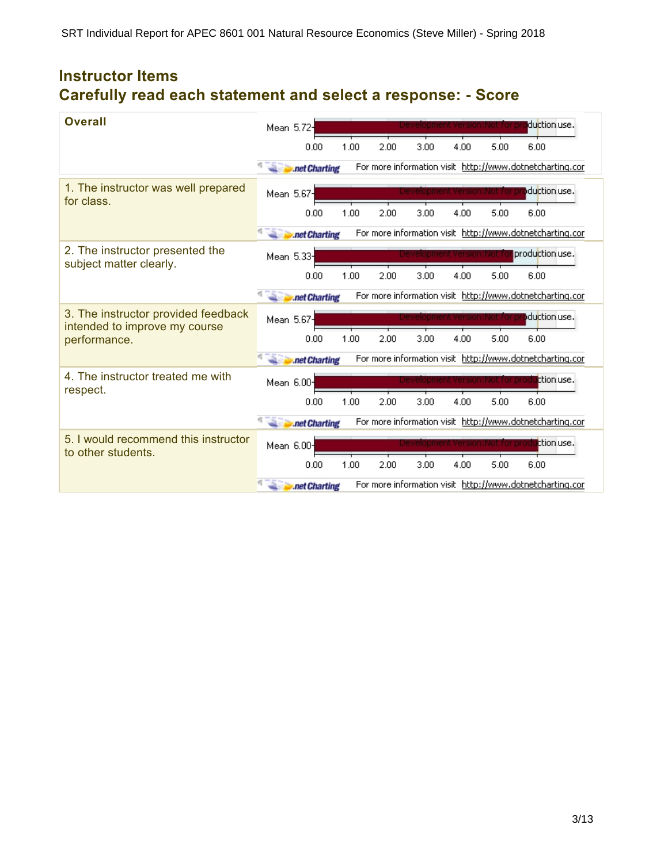## **Instructor Items Carefully read each statement and select a response: - Score**

| Overall                                                              | Mean 5.72- |               |      |      |      |                        |      | duction use.                                             |
|----------------------------------------------------------------------|------------|---------------|------|------|------|------------------------|------|----------------------------------------------------------|
|                                                                      |            | 0.00          | 1.00 | 2.00 | 3.00 | 4.00                   | 5.00 | 6.00                                                     |
|                                                                      |            | .net Charting |      |      |      |                        |      | For more information visit http://www.dotnetcharting.cor |
| 1. The instructor was well prepared<br>for class.                    | Mean 5.67- |               |      |      |      |                        |      | duction use.                                             |
|                                                                      |            | 0.00          | 1.00 | 2.00 | 3.00 | 4.00                   | 5.00 | 6.00                                                     |
|                                                                      |            | .net Charting |      |      |      |                        |      | For more information visit http://www.dotnetcharting.cor |
| 2. The instructor presented the<br>subject matter clearly.           | Mean 5.33  |               |      |      |      | einnment Version:Not t |      | production use.                                          |
|                                                                      |            | 0.00          | 1.00 | 2.00 | 3.00 | 4.00                   | 5.00 | 6.00                                                     |
|                                                                      |            | .net Charting |      |      |      |                        |      | For more information visit http://www.dotnetcharting.cor |
| 3. The instructor provided feedback<br>intended to improve my course | Mean 5.67- |               |      |      |      |                        |      | duction use.                                             |
| performance.                                                         |            | 0.00          | 1.00 | 2.00 | 3.00 | 4.00                   | 5.00 | 6.00                                                     |
|                                                                      |            | .net Charting |      |      |      |                        |      | For more information visit http://www.dotnetcharting.cor |
| 4. The instructor treated me with<br>respect.                        | Mean 6.00- |               |      |      |      |                        |      | ttion use.                                               |
|                                                                      |            | 0.00          | 1.00 | 2.00 | 3.00 | 4.00                   | 5.00 | 6.00                                                     |
|                                                                      |            | .net Charting |      |      |      |                        |      | For more information visit http://www.dotnetcharting.cor |
| 5. I would recommend this instructor<br>to other students.           | Mean 6.00- |               |      |      |      |                        |      | ttion use.                                               |
|                                                                      |            | 0.00          | 1.00 | 2.00 | 3.00 | 4.00                   | 5.00 | 6.00                                                     |
|                                                                      |            | .net Charting |      |      |      |                        |      | For more information visit http://www.dotnetcharting.cor |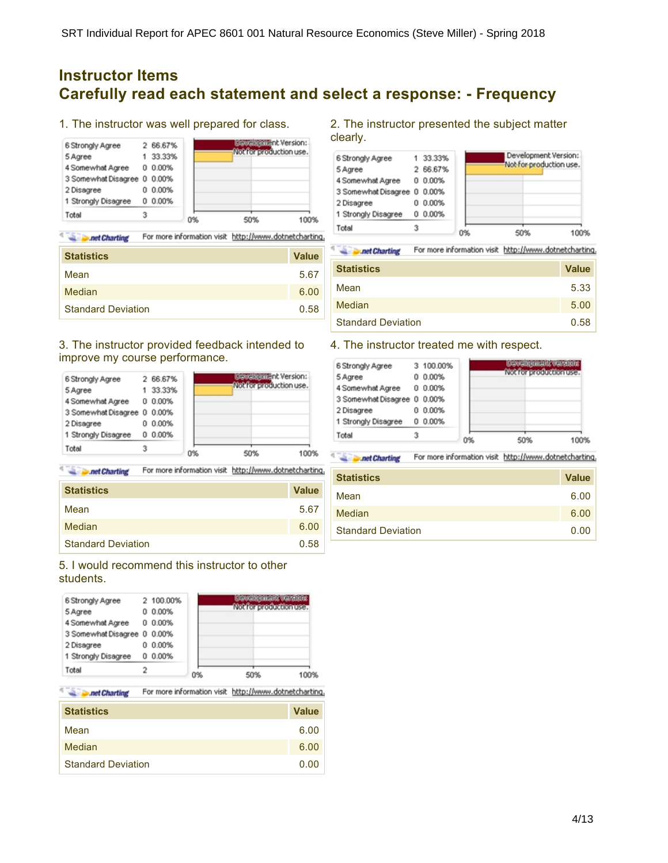### **Instructor Items Carefully read each statement and select a response: - Frequency**

1. The instructor was well prepared for class.



**Charting** For more information visit http://www.dotnetcharting.

| <b>Statistics</b>         | <b>Value</b> |
|---------------------------|--------------|
| Mean                      | 5.67         |
| Median                    | 6.00         |
| <b>Standard Deviation</b> | 0.58         |

#### 3. The instructor provided feedback intended to improve my course performance.

| 6 Strongly Agree            |    | 2 66.67% |    | <b>GEWEISTETTEIN</b> Version: |
|-----------------------------|----|----------|----|-------------------------------|
| 5 Agree                     |    | 33.33%   |    | Not for production use.       |
| 4 Somewhat Agree            | Ũ. | 0.00%    |    |                               |
| 3 Somewhat Disagree 0 0.00% |    |          |    |                               |
| 2 Disagree                  | o  | 0.00%    |    |                               |
| 1 Strongly Disagree         | o  | 0.00%    |    |                               |
| Total                       | 3  |          | 0% | 50%<br>100%                   |

**Second Charting** For more information visit http://www.dotnetcharting.

| <b>Statistics</b>         | <b>Value</b> |
|---------------------------|--------------|
| Mean                      | 5.67         |
| Median                    | 6.00         |
| <b>Standard Deviation</b> | 0.58         |

### 5. I would recommend this instructor to other students.

| 6 Strongly Agree<br>5 Agree<br>4 Somewhat Agree<br>3 Somewhat Disagree 0 0.00%<br>2 Disagree | o<br>o | 2 100.00%<br>0.00%<br>0 0.00%<br>0.00% |    | <b>Cowain criteria warshing</b><br>Mohfanyarafurtika usan |
|----------------------------------------------------------------------------------------------|--------|----------------------------------------|----|-----------------------------------------------------------|
| 1 Strongly Disagree                                                                          |        | $0.00\%$                               |    |                                                           |
| Total                                                                                        |        |                                        | 0% | 50%<br>100%                                               |

**Charting** For more information visit http://www.dotnetcharting.

| <b>Statistics</b>         | <b>Value</b> |
|---------------------------|--------------|
| Mean                      | 6.00         |
| Median                    | 6.00         |
| <b>Standard Deviation</b> | 0.00         |

#### 2. The instructor presented the subject matter clearly.



q **All Punet Charting** For more information visit http://www.dotnetcharting.

| <b>Statistics</b>         | <b>Value</b> |
|---------------------------|--------------|
| Mean                      | 5.33         |
| Median                    | 5.00         |
| <b>Standard Deviation</b> | 0.58         |

#### 4. The instructor treated me with respect.

| 6 Strongly Agree<br>5 Agree<br>4 Somewhat Agree<br>3 Somewhat Disagree 0 0.00% | 0 | 3 100.00%<br>0.00%<br>0 0.00% |    | <b>Coverigement versions</b><br>(Adalian anad adhan assa |
|--------------------------------------------------------------------------------|---|-------------------------------|----|----------------------------------------------------------|
| 2 Disagree                                                                     | n | 0.00%                         |    |                                                          |
| 1 Strongly Disagree                                                            |   | $0.00\%$                      |    |                                                          |
| Total                                                                          |   |                               | 0% | 50%<br>009                                               |

**Solution** Charting For more information visit http://www.dotnetcharting.

| <b>Statistics</b>         | <b>Value</b> |
|---------------------------|--------------|
| Mean                      | 6.00         |
| Median                    | 6.00         |
| <b>Standard Deviation</b> | 0.00         |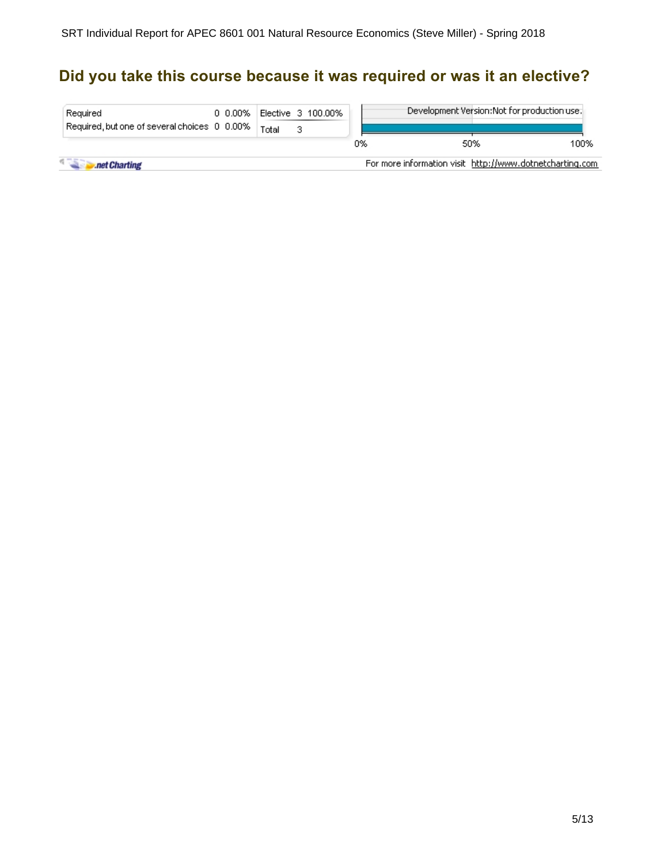## **Did you take this course because it was required or was it an elective?**

| Required<br>Required, but one of several choices 0 0.00% | 0 0.00% | Elective 3 100,00%<br>Total |  |    |     | Development Version: Not for production use.             |      |
|----------------------------------------------------------|---------|-----------------------------|--|----|-----|----------------------------------------------------------|------|
|                                                          |         |                             |  | 0% | 50% |                                                          | 100% |
| .net Charting                                            |         |                             |  |    |     | For more information visit http://www.dotnetcharting.com |      |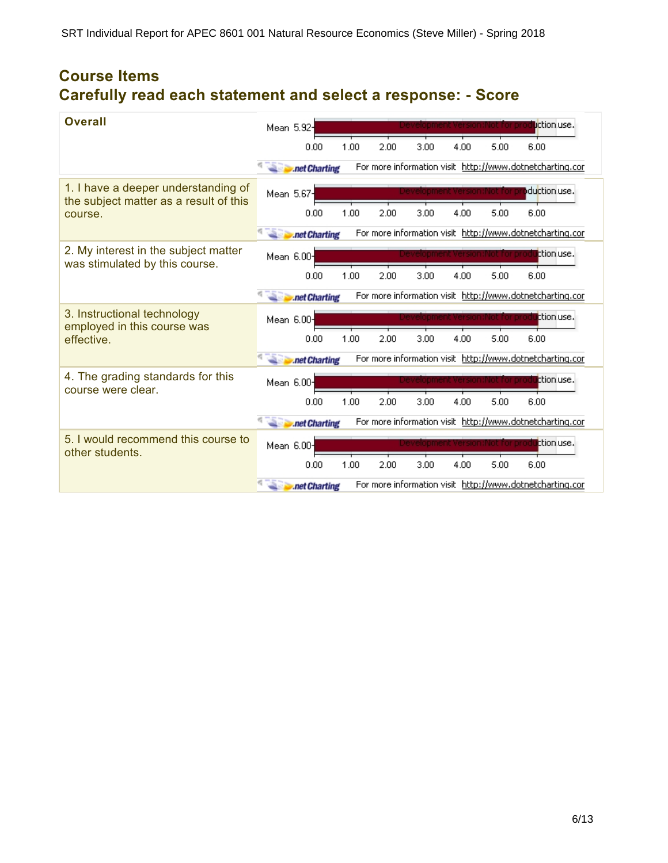## **Course Items Carefully read each statement and select a response: - Score**

| <b>Overall</b>                                                                | Mean 5.92- |               |      |      |      |      |                                | liction use.                                             |
|-------------------------------------------------------------------------------|------------|---------------|------|------|------|------|--------------------------------|----------------------------------------------------------|
|                                                                               |            | 0.00          | 1.00 | 2.00 | 3.00 | 4.00 | 5.00                           | 6.00                                                     |
|                                                                               |            | .net Charting |      |      |      |      |                                | For more information visit http://www.dotnetcharting.cor |
| 1. I have a deeper understanding of<br>the subject matter as a result of this | Mean 5.67- |               |      |      |      |      |                                | duction use.                                             |
| course.                                                                       |            | 0.00          | 1.00 | 2.00 | 3.00 | 4.00 | 5.00                           | 6.00                                                     |
|                                                                               |            | .net Charting |      |      |      |      |                                | For more information visit http://www.dotnetcharting.cor |
| 2. My interest in the subject matter<br>was stimulated by this course.        | Mean 6.00- |               |      |      |      |      | evelopment Version:Not for pro | ttion use.                                               |
|                                                                               |            | 0.00          | 1.00 | 2.00 | 3.00 | 4.00 | 5.00                           | 6.00                                                     |
|                                                                               |            | .net Charting |      |      |      |      |                                | For more information visit http://www.dotnetcharting.cor |
| 3. Instructional technology<br>employed in this course was                    | Mean 6.00- |               |      |      |      |      |                                | ttion use.                                               |
| effective.                                                                    |            | 0.00          | 1.00 | 2.00 | 3.00 | 4.00 | 5.00                           | 6.00                                                     |
|                                                                               |            | .net Charting |      |      |      |      |                                | For more information visit http://www.dotnetcharting.cor |
| 4. The grading standards for this<br>course were clear.                       | Mean 6.00- |               |      |      |      |      | inot for pro                   | ttion use.                                               |
|                                                                               |            | 0.00          | 1.00 | 2.00 | 3.00 | 4.00 | 5.00                           | 6.00                                                     |
|                                                                               |            | .net Charting |      |      |      |      |                                | For more information visit http://www.dotnetcharting.cor |
| 5. I would recommend this course to<br>other students.                        | Mean 6.00- |               |      |      |      |      |                                | ttion use.                                               |
|                                                                               |            | 0.00          | 1.00 | 2.00 | 3.00 | 4.00 | 5.00                           | 6.00                                                     |
|                                                                               |            | .net Charting |      |      |      |      |                                | For more information visit http://www.dotnetcharting.cor |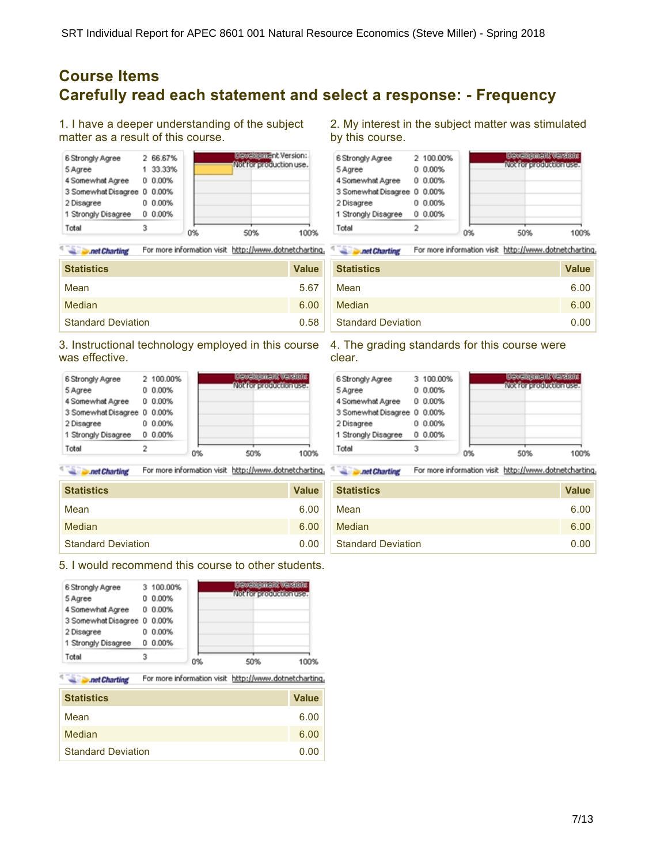### **Course Items Carefully read each statement and select a response: - Frequency**

1. I have a deeper understanding of the subject matter as a result of this course.



For more information visit http://www.dotnetcharting. **All Prince Charting** 

| <b>Statistics</b>         | <b>Value</b> |
|---------------------------|--------------|
| Mean                      | 5.67         |
| Median                    | 6.00         |
| <b>Standard Deviation</b> | 0.58         |

3. Instructional technology employed in this course 4. The grading standards for this course were was effective.

| 6 Strongly Agree            |   | 2 100.00% |    | Crawling mank warehous |
|-----------------------------|---|-----------|----|------------------------|
| 5 Agree                     | ο | 0.00%     |    | Mohfon vrodnotka presa |
| 4 Somewhat Agree            |   | $0.00\%$  |    |                        |
| 3 Somewhat Disagree 0 0.00% |   |           |    |                        |
| 2 Disagree                  | o | 0.00%     |    |                        |
| 1 Strongly Disagree         |   | $0.00\%$  |    |                        |
| Total                       | 2 |           | 0% | 50%<br>100%            |

For more information visit http://www.dotnetcharting. 4 The net Charting **Section** Charting

| <b>Statistics</b>         | <b>Value</b> |
|---------------------------|--------------|
| Mean                      | 6.00         |
| Median                    | 6.00         |
| <b>Standard Deviation</b> | 0.00         |

5. I would recommend this course to other students.

| 6 Strongly Agree<br>5 Agree<br>4 Somewhat Agree | ο | 3 100.00%<br>0.00%<br>$0.00\%$ |    | <b>Cowain criteria warshing</b><br>Mohfon work offen user |
|-------------------------------------------------|---|--------------------------------|----|-----------------------------------------------------------|
| 3 Somewhat Disagree 0 0.00%                     |   |                                |    |                                                           |
| 2 Disagree                                      | o | 0.00%                          |    |                                                           |
| 1 Strongly Disagree                             |   | 0 0.00%                        |    |                                                           |
| Total                                           | з |                                | 0% | 50%<br>100%                                               |

For more information visit http://www.dotnetcharting. **Solution** Charting

| <b>Statistics</b>         | <b>Value</b> |
|---------------------------|--------------|
| Mean                      | 6.00         |
| Median                    | 6.00         |
| <b>Standard Deviation</b> | 0.00         |

2. My interest in the subject matter was stimulated by this course.



net Charting For more information visit http://www.dotnetcharting.

| <b>Statistics</b>         | <b>Value</b> |
|---------------------------|--------------|
| Mean                      | 6.00         |
| Median                    | 6.00         |
| <b>Standard Deviation</b> | 0.00         |

clear.

| 6 Strongly Agree            |   | 3 100.00% |    | <b>Cowain criteria warshing</b> |
|-----------------------------|---|-----------|----|---------------------------------|
| 5 Agree                     | 0 | 0.00%     |    | Nokforeroductionuse.            |
| 4 Somewhat Agree            |   | 0 0.00%   |    |                                 |
| 3 Somewhat Disagree 0 0.00% |   |           |    |                                 |
| 2 Disagree                  | n | 0.00%     |    |                                 |
| 1 Strongly Disagree         |   | $0.00\%$  |    |                                 |
| Total                       |   |           | 0% | 50%<br>100%                     |

For more information visit http://www.dotnetcharting.

| <b>Statistics</b>         | <b>Value</b> |
|---------------------------|--------------|
| Mean                      | 6.00         |
| Median                    | 6.00         |
| <b>Standard Deviation</b> | 0.00         |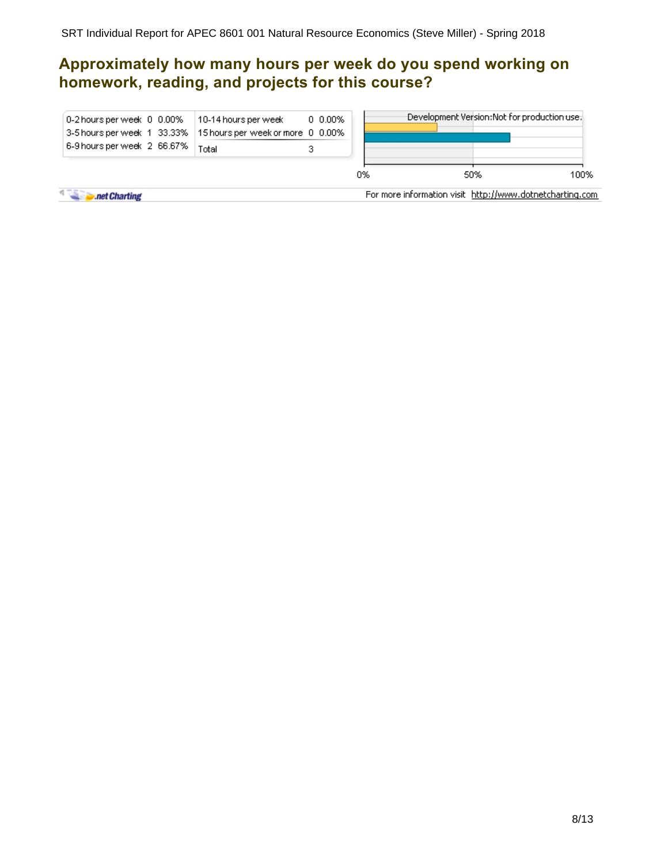## **Approximately how many hours per week do you spend working on homework, reading, and projects for this course?**

| 0-2 hours per week 0 0.00% 10-14 hours per week<br>3-5 hours per week 1 33.33% 15 hours per week or more 0 0.00% |       | $0.000\%$ |    |                                                          | Development Version:Not for production use. |      |
|------------------------------------------------------------------------------------------------------------------|-------|-----------|----|----------------------------------------------------------|---------------------------------------------|------|
| 6-9 hours per week 2 66.67%                                                                                      | Total |           |    |                                                          |                                             |      |
|                                                                                                                  |       |           | 0% |                                                          | 50%                                         | 100% |
| net Charting                                                                                                     |       |           |    | For more information visit http://www.dotnetcharting.com |                                             |      |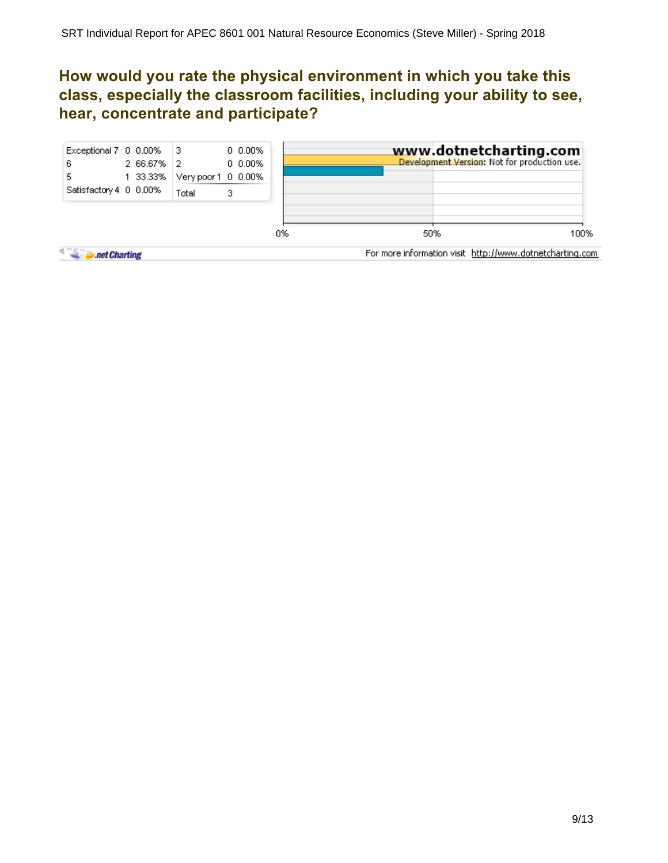## **How would you rate the physical environment in which you take this class, especially the classroom facilities, including your ability to see, hear, concentrate and participate?**

| Exceptional 7 0 0.00%<br>6<br>5<br>Satisfactory 4 0 0.00% | 2 66.67% 2<br>1 33.33% | - 13<br>Very poor 1 0 0.00%<br>Total | 0.000%<br>0.000%<br>з |    | www.dotnetcharting.com<br>Development Version: Not for production use. |      |
|-----------------------------------------------------------|------------------------|--------------------------------------|-----------------------|----|------------------------------------------------------------------------|------|
|                                                           |                        |                                      |                       | 0% | 50%                                                                    | 100% |
| 4.757<br>.net Charting                                    |                        |                                      |                       |    | For more information visit http://www.dotnetcharting.com               |      |

9/13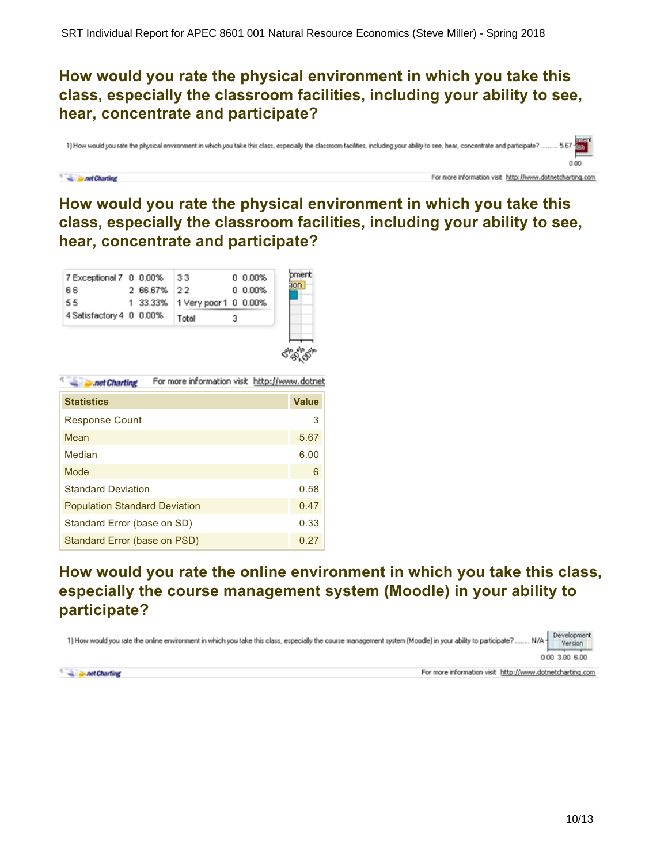## **How would you rate the physical environment in which you take this class, especially the classroom facilities, including your ability to see, hear, concentrate and participate?**

1) How would you rate the physical environment in which you take this class, especially the classroom facilities, including your ability to see, hear, concentrate and participate?

#### **Det Charting**

For more information visit http://www.dotnetcharting.com

0.00

## **How would you rate the physical environment in which you take this class, especially the classroom facilities, including your ability to see, hear, concentrate and participate?**

| 7 Exceptional 7 0 0.00%  |             | 33                             | $0.00\%$ | mer |
|--------------------------|-------------|--------------------------------|----------|-----|
| 66                       | 2 66.67% 22 |                                | $0.00\%$ |     |
| 55                       |             | 1 33.33% 1 Very poor 1 0 0.00% |          |     |
| 4 Satisfactory 4 0 0.00% |             | Total                          |          |     |

| <b>Det Charting</b> |  |  | For more information visit http://www.dotnet |  |
|---------------------|--|--|----------------------------------------------|--|
|                     |  |  |                                              |  |

| <b>Statistics</b>                    | <b>Value</b> |
|--------------------------------------|--------------|
| <b>Response Count</b>                | 3            |
| Mean                                 | 5.67         |
| Median                               | 6.00         |
| Mode                                 | 6            |
| <b>Standard Deviation</b>            | 0.58         |
| <b>Population Standard Deviation</b> | 0.47         |
| Standard Error (base on SD)          | 0.33         |
| Standard Error (base on PSD)         | 0.27         |

## **How would you rate the online environment in which you take this class, especially the course management system (Moodle) in your ability to participate?**

Development 1) How would you rate the online environment in which you take this class, especially the course management system (Moodle) in your ability to participate?..... N/A-Version

0.00 3.00 6.00



For more information visit http://www.dotnetcharting.com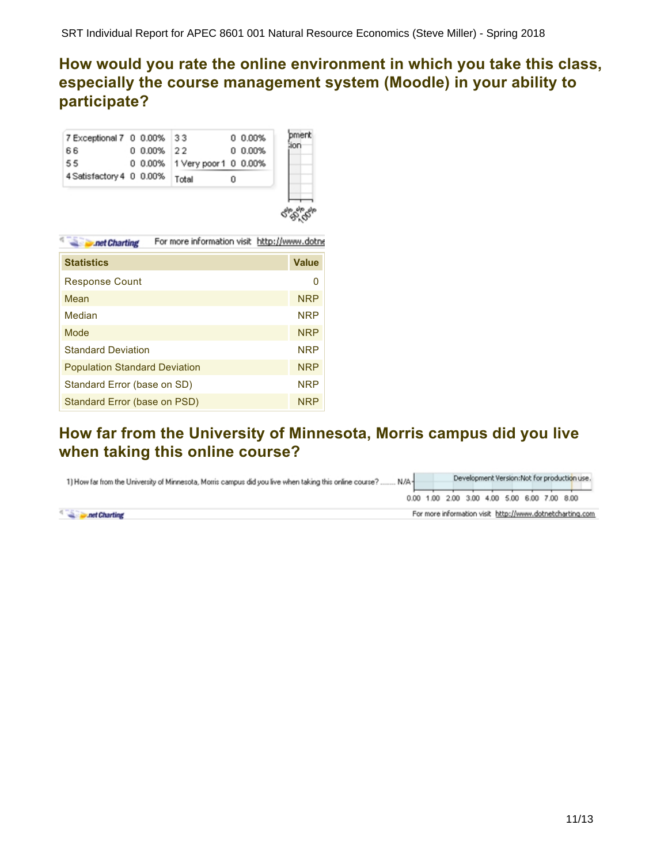## **How would you rate the online environment in which you take this class, especially the course management system (Moodle) in your ability to participate?**

| 7 Exceptional 7 0 0.00% 33     |            |                               | 0 0.00% |    |
|--------------------------------|------------|-------------------------------|---------|----|
| 66                             | 0 0.00% 22 |                               | 0 0.00% | mr |
| 55                             |            | 0 0.00% 1 Very poor 1 0 0.00% |         |    |
| 4 Satisfactory 4 0 0.00% Total |            |                               |         |    |
|                                |            |                               |         |    |



| .net Charting | For more information visit http://www.dotne |  |
|---------------|---------------------------------------------|--|
|               |                                             |  |

| <b>Statistics</b>                    | <b>Value</b> |
|--------------------------------------|--------------|
| <b>Response Count</b>                | O            |
| Mean                                 | <b>NRP</b>   |
| Median                               | <b>NRP</b>   |
| Mode                                 | <b>NRP</b>   |
| <b>Standard Deviation</b>            | <b>NRP</b>   |
| <b>Population Standard Deviation</b> | <b>NRP</b>   |
| Standard Error (base on SD)          | <b>NRP</b>   |
| Standard Error (base on PSD)         | <b>NRP</b>   |

### **How far from the University of Minnesota, Morris campus did you live when taking this online course?**

| 1) How far from the University of Minnesota, Morris campus did you live when taking this online course? | N/A- | Development Version: Not for production use. |  |  |  |  |                                                          |  |
|---------------------------------------------------------------------------------------------------------|------|----------------------------------------------|--|--|--|--|----------------------------------------------------------|--|
|                                                                                                         |      | 0.00 1.00 2.00 3.00 4.00 5.00 6.00 7.00 8.00 |  |  |  |  |                                                          |  |
| and Charting                                                                                            |      |                                              |  |  |  |  | For more information visit http://www.dotnetcharting.com |  |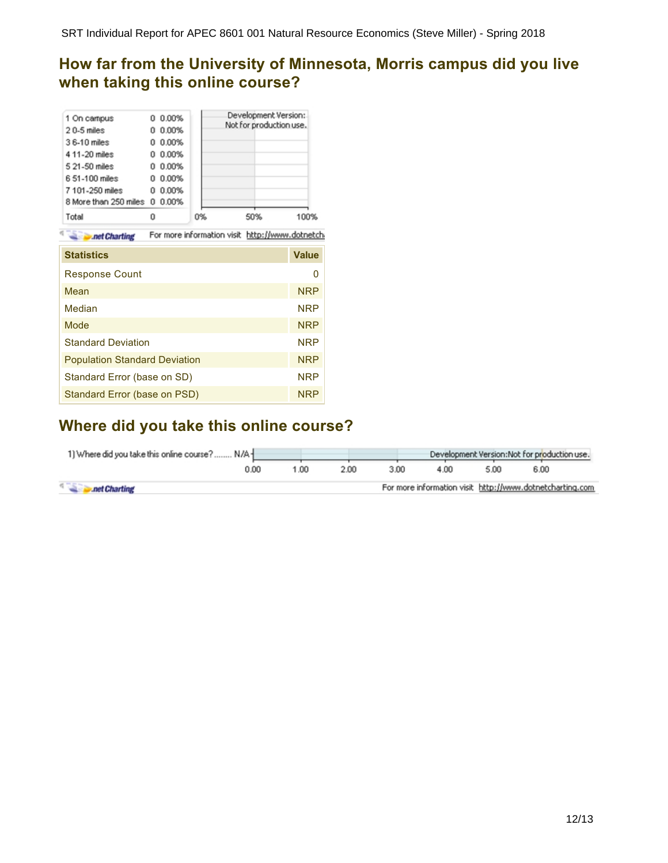SRT Individual Report for APEC 8601 001 Natural Resource Economics (Steve Miller) - Spring 2018

## **How far from the University of Minnesota, Morris campus did you live when taking this online course?**

| 1 On campus<br>$20-5$ miles<br>36-10 miles<br>4 11-20 miles<br>5 21-50 miles<br>6 51-100 miles<br>7 101-250 miles<br>8 More than 250 miles 0 | 0.00%<br>0<br>0.00%<br>Ω<br>0.00%<br>0<br>0.00%<br>0<br>0.00%<br>0<br>0.00%<br>o<br>0.00%<br>O<br>0.00% |                                                 | Development Version:<br>Not for production use. |              |
|----------------------------------------------------------------------------------------------------------------------------------------------|---------------------------------------------------------------------------------------------------------|-------------------------------------------------|-------------------------------------------------|--------------|
| Total                                                                                                                                        | 0                                                                                                       | 0%                                              | 50%                                             | 100%         |
| .net Charting                                                                                                                                |                                                                                                         | For more information visit http://www.dotnetch. |                                                 |              |
| <b>Statistics</b>                                                                                                                            |                                                                                                         |                                                 |                                                 | <b>Value</b> |
| <b>Response Count</b>                                                                                                                        |                                                                                                         |                                                 |                                                 | 0            |
| Mean                                                                                                                                         |                                                                                                         |                                                 |                                                 | <b>NRP</b>   |
| Median                                                                                                                                       |                                                                                                         |                                                 |                                                 | <b>NRP</b>   |
| Mode                                                                                                                                         |                                                                                                         |                                                 |                                                 | <b>NRP</b>   |
| <b>Standard Deviation</b>                                                                                                                    |                                                                                                         |                                                 |                                                 | <b>NRP</b>   |
| <b>Population Standard Deviation</b>                                                                                                         |                                                                                                         |                                                 |                                                 | <b>NRP</b>   |
| Standard Error (base on SD)                                                                                                                  |                                                                                                         |                                                 |                                                 | <b>NRP</b>   |
| Standard Error (base on PSD)                                                                                                                 |                                                                                                         |                                                 |                                                 | <b>NRP</b>   |

### **Where did you take this online course?**

| 1) Where did you take this online course? N/A+ |      |      | Development Version: Not for production use. |      |                                                          |      |      |  |
|------------------------------------------------|------|------|----------------------------------------------|------|----------------------------------------------------------|------|------|--|
|                                                | 0.00 | 1.00 | 2.00.                                        | 3.00 | 4.00                                                     | 5.00 | 6.00 |  |
| net Charting                                   |      |      |                                              |      | For more information visit http://www.dotnetcharting.com |      |      |  |